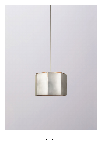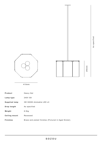





415mm

| Product              | Heavy Hat                                            |
|----------------------|------------------------------------------------------|
| Lamp type            | 240V G9                                              |
| <b>Supplied lamp</b> | 3W 3000K dimmable LED x3                             |
| Drop length          | As specified                                         |
| Weight               | $8.5$ kg                                             |
| <b>Ceiling mount</b> | Recessed                                             |
| <b>Finishes</b>      | Brass and plated finishes (Pictured in Aged Nickel). |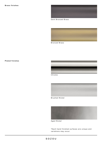

Dark Bronzed Brass



Bronzed Brass

## **Plated finishes**



Chrome



Brushed Nickel



Aged Nickel

 $*$  Each hand finished surfaces are unique and variations may occur.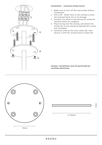

## **Installation - recessed ceiling mount**

- 1. Make sure to turn off the main power before installation.
- 2. Drill ø 35 50mm hole to the ceiling to allow the terminal block (C) to fit through.
- 3. Connect live wires to the fitting (A) using the terminal block (C) supplied.
- 4. Place wiring into the ceiling, and attach the fitting (A) to the ceiling by appropriate screws (not included).
- 5. Carefully slide up the cover plate (B), then secure it with the ceiling mount screws (D).

**Caution: Installation must be performed by certified electrician.**